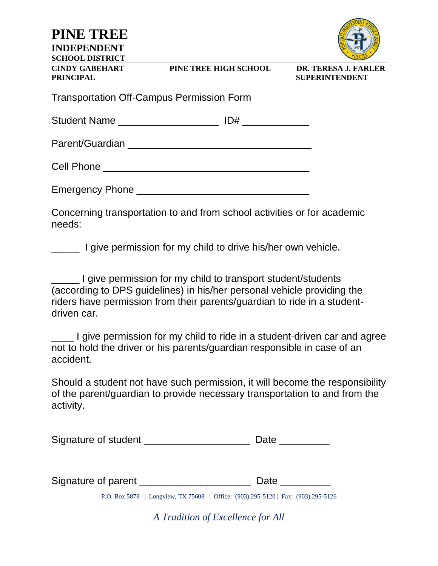**PINE TREE INDEPENDENT SCHOOL DISTRICT CINDY GABEHART PINE TREE HIGH SCHOOL DR. TERESA J. FARLER PRINCIPAL SUPERINTENDENT** Transportation Off-Campus Permission Form Student Name \_\_\_\_\_\_\_\_\_\_\_\_\_\_\_\_\_\_ ID# \_\_\_\_\_\_\_\_\_\_\_\_ Parent/Guardian \_\_\_\_\_\_\_\_\_\_\_\_\_\_\_\_\_\_\_\_\_\_\_\_\_\_\_\_\_\_\_\_\_ Cell Phone \_\_\_\_\_\_\_\_\_\_\_\_\_\_\_\_\_\_\_\_\_\_\_\_\_\_\_\_\_\_\_\_\_\_\_\_\_ Emergency Phone \_\_\_\_\_\_\_\_\_\_\_\_\_\_\_\_\_\_\_\_\_\_\_\_\_\_\_\_\_\_\_ Concerning transportation to and from school activities or for academic needs: I give permission for my child to drive his/her own vehicle. \_\_\_\_\_ I give permission for my child to transport student/students (according to DPS guidelines) in his/her personal vehicle providing the riders have permission from their parents/guardian to ride in a studentdriven car. I give permission for my child to ride in a student-driven car and agree not to hold the driver or his parents/guardian responsible in case of an accident. Should a student not have such permission, it will become the responsibility of the parent/guardian to provide necessary transportation to and from the activity.

| Signature of student |  |  |
|----------------------|--|--|
|----------------------|--|--|

Signature of parent \_\_\_\_\_\_\_\_\_\_\_\_\_\_\_\_\_\_\_\_ Date \_\_\_\_\_\_\_\_\_

P.O. Box 5878 | Longview, TX 75608 | Office: (903) 295-5120 | Fax: (903) 295-5126

*A Tradition of Excellence for All*